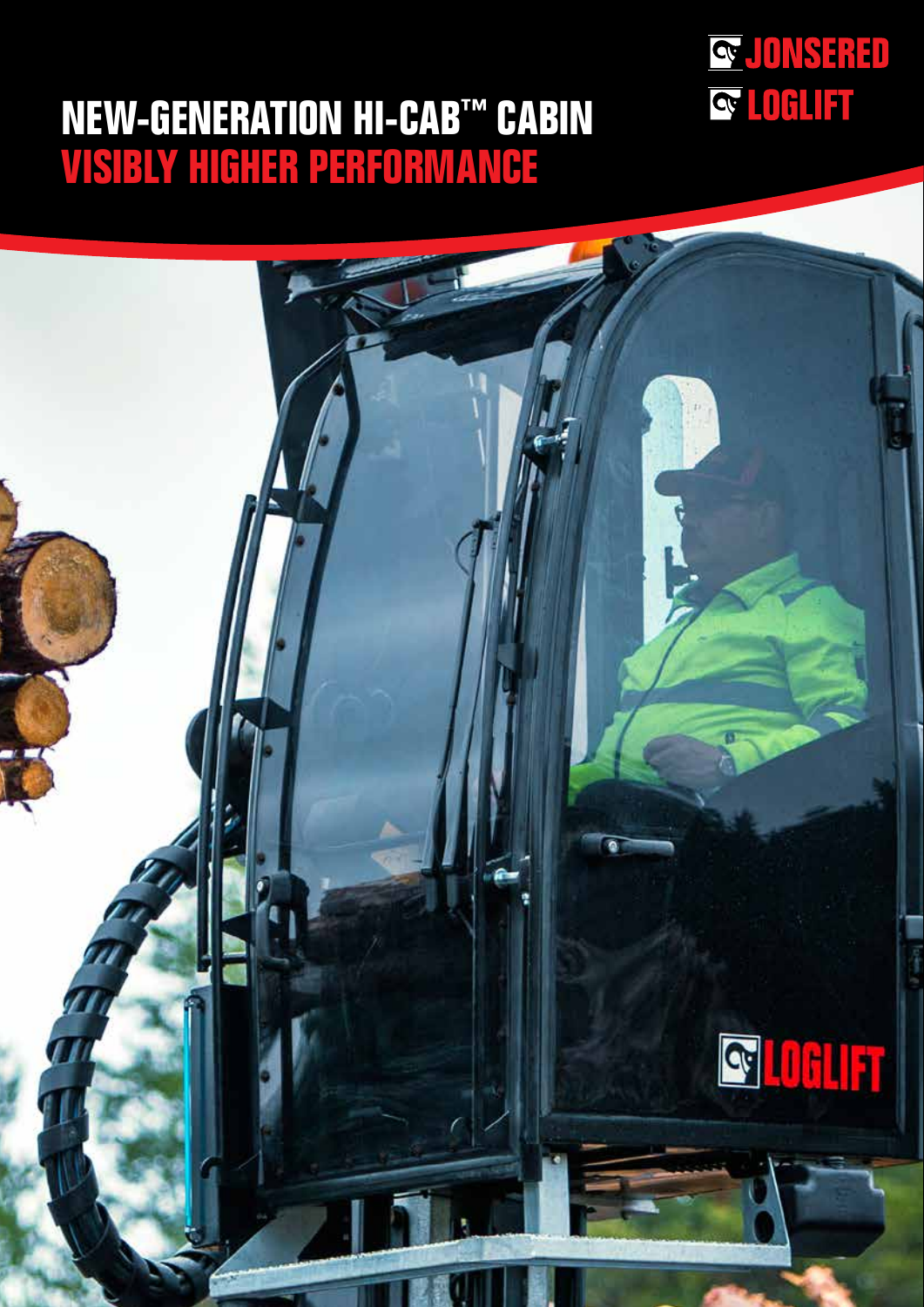

### **NEW-GENERATION HI-CAB™ CABIN VISIBLY HIGHER PERFORMANCE**

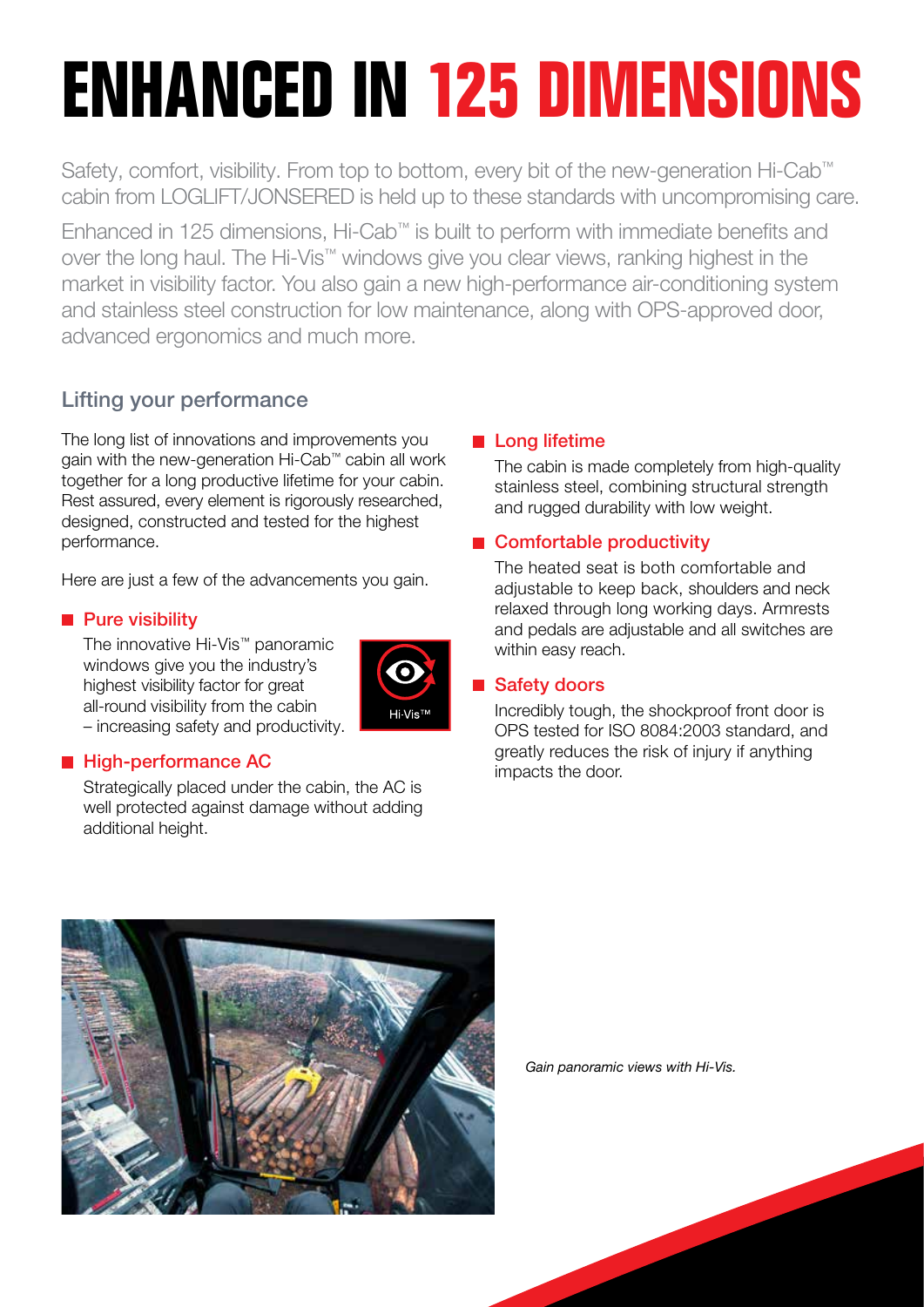# **ENHANCED IN 125 DIMENSIONS**

Safety, comfort, visibility. From top to bottom, every bit of the new-generation Hi-Cab<sup>™</sup> cabin from LOGLIFT/JONSERED is held up to these standards with uncompromising care.

Enhanced in 125 dimensions, Hi-Cab™ is built to perform with immediate benefits and over the long haul. The Hi-Vis™ windows give you clear views, ranking highest in the market in visibility factor. You also gain a new high-performance air-conditioning system and stainless steel construction for low maintenance, along with OPS-approved door, advanced ergonomics and much more.

Hi-Vis<sup>™</sup>

#### Lifting your performance

The long list of innovations and improvements you gain with the new-generation Hi-Cab™ cabin all work together for a long productive lifetime for your cabin. Rest assured, every element is rigorously researched, designed, constructed and tested for the highest performance.

Here are just a few of the advancements you gain.

#### **Pure visibility**

The innovative Hi-Vis™ panoramic windows give you the industry's highest visibility factor for great all-round visibility from the cabin – increasing safety and productivity.



Strategically placed under the cabin, the AC is well protected against damage without adding additional height.

#### **Long lifetime**

The cabin is made completely from high-quality stainless steel, combining structural strength and rugged durability with low weight.

#### ■ Comfortable productivity

The heated seat is both comfortable and adjustable to keep back, shoulders and neck relaxed through long working days. Armrests and pedals are adjustable and all switches are within easy reach.

#### Safety doors

Incredibly tough, the shockproof front door is OPS tested for ISO 8084:2003 standard, and greatly reduces the risk of injury if anything impacts the door.



Gain panoramic views with Hi-Vis.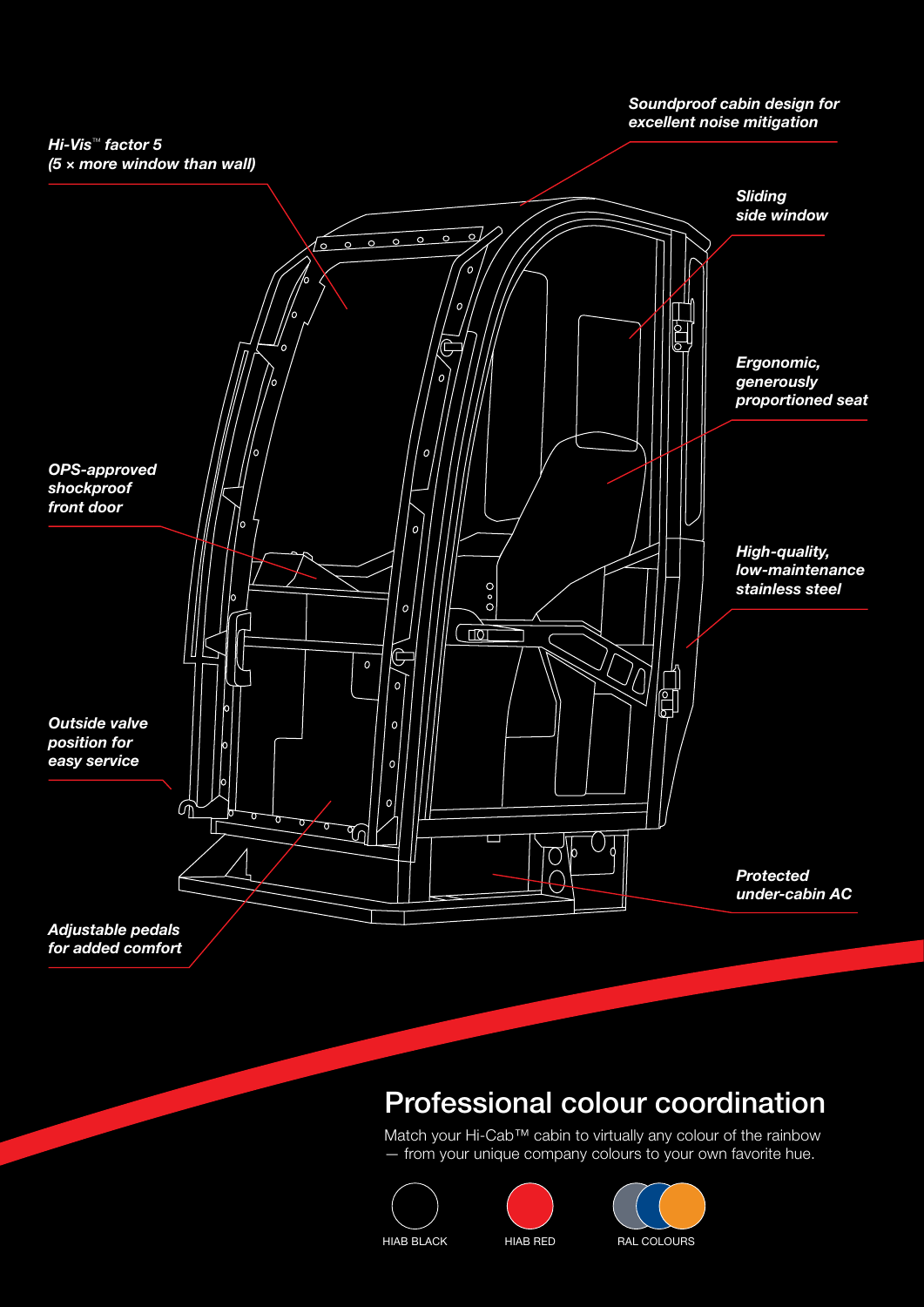

#### Professional colour coordination

Match your Hi-Cab™ cabin to virtually any colour of the rainbow — from your unique company colours to your own favorite hue.